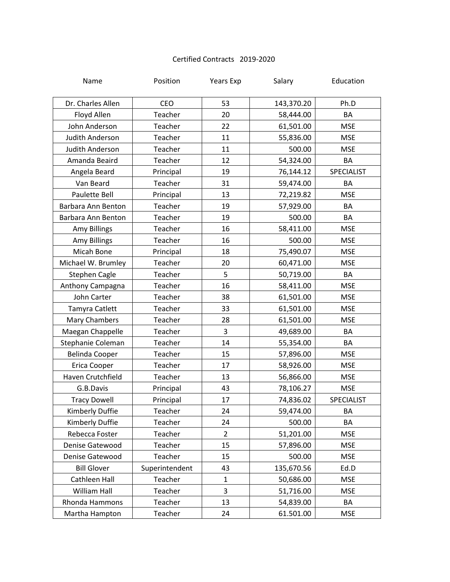## Certified Contracts 2019-2020

| Name                  | Position       | <b>Years Exp</b> | Salary     | Education  |
|-----------------------|----------------|------------------|------------|------------|
| Dr. Charles Allen     | CEO            | 53               | 143,370.20 | Ph.D       |
| Floyd Allen           | Teacher        | 20               | 58,444.00  | BA         |
| John Anderson         | Teacher        | 22               | 61,501.00  | <b>MSE</b> |
| Judith Anderson       | Teacher        | 11               | 55,836.00  | <b>MSE</b> |
| Judith Anderson       | Teacher        | 11               | 500.00     | <b>MSE</b> |
| Amanda Beaird         | Teacher        | 12               | 54,324.00  | BA         |
| Angela Beard          | Principal      | 19               | 76,144.12  | SPECIALIST |
| Van Beard             | Teacher        | 31               | 59,474.00  | BA         |
| Paulette Bell         | Principal      | 13               | 72,219.82  | <b>MSE</b> |
| Barbara Ann Benton    | Teacher        | 19               | 57,929.00  | BA         |
| Barbara Ann Benton    | Teacher        | 19               | 500.00     | BA         |
| Amy Billings          | Teacher        | 16               | 58,411.00  | <b>MSE</b> |
| <b>Amy Billings</b>   | Teacher        | 16               | 500.00     | <b>MSE</b> |
| Micah Bone            | Principal      | 18               | 75,490.07  | <b>MSE</b> |
| Michael W. Brumley    | Teacher        | 20               | 60,471.00  | <b>MSE</b> |
| <b>Stephen Cagle</b>  | Teacher        | 5                | 50,719.00  | BA         |
| Anthony Campagna      | Teacher        | 16               | 58,411.00  | <b>MSE</b> |
| John Carter           | Teacher        | 38               | 61,501.00  | <b>MSE</b> |
| Tamyra Catlett        | Teacher        | 33               | 61,501.00  | <b>MSE</b> |
| Mary Chambers         | Teacher        | 28               | 61,501.00  | <b>MSE</b> |
| Maegan Chappelle      | Teacher        | 3                | 49,689.00  | BA         |
| Stephanie Coleman     | Teacher        | 14               | 55,354.00  | BA         |
| <b>Belinda Cooper</b> | Teacher        | 15               | 57,896.00  | <b>MSE</b> |
| Erica Cooper          | Teacher        | 17               | 58,926.00  | <b>MSE</b> |
| Haven Crutchfield     | Teacher        | 13               | 56,866.00  | <b>MSE</b> |
| G.B.Davis             | Principal      | 43               | 78,106.27  | <b>MSE</b> |
| <b>Tracy Dowell</b>   | Principal      | 17               | 74,836.02  | SPECIALIST |
| Kimberly Duffie       | Teacher        | 24               | 59,474.00  | ΒA         |
| Kimberly Duffie       | Teacher        | 24               | 500.00     | BA         |
| Rebecca Foster        | Teacher        | $\overline{2}$   | 51,201.00  | <b>MSE</b> |
| Denise Gatewood       | Teacher        | 15               | 57,896.00  | <b>MSE</b> |
| Denise Gatewood       | Teacher        | 15               | 500.00     | <b>MSE</b> |
| <b>Bill Glover</b>    | Superintendent | 43               | 135,670.56 | Ed.D       |
| Cathleen Hall         | Teacher        | $\mathbf{1}$     | 50,686.00  | <b>MSE</b> |
| <b>William Hall</b>   | Teacher        | 3                | 51,716.00  | <b>MSE</b> |
| <b>Rhonda Hammons</b> | Teacher        | 13               | 54,839.00  | BA         |
| Martha Hampton        | Teacher        | 24               | 61.501.00  | <b>MSE</b> |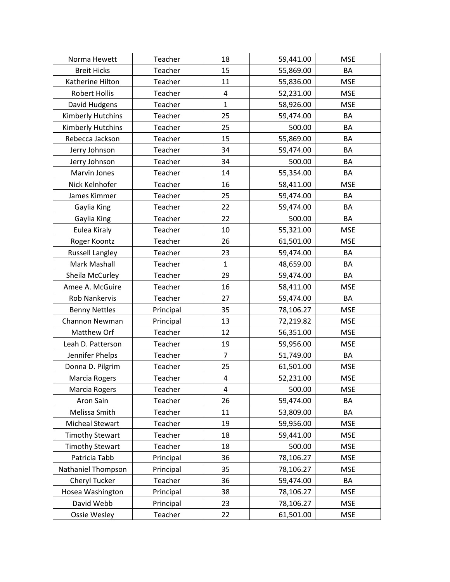| Norma Hewett           | Teacher   | 18                      | 59,441.00 | <b>MSE</b> |
|------------------------|-----------|-------------------------|-----------|------------|
| <b>Breit Hicks</b>     | Teacher   | 15                      | 55,869.00 | BA         |
| Katherine Hilton       | Teacher   | 11                      | 55,836.00 | <b>MSE</b> |
| <b>Robert Hollis</b>   | Teacher   | 4                       | 52,231.00 | <b>MSE</b> |
| David Hudgens          | Teacher   | $\mathbf{1}$            | 58,926.00 | <b>MSE</b> |
| Kimberly Hutchins      | Teacher   | 25                      | 59,474.00 | BA         |
| Kimberly Hutchins      | Teacher   | 25                      | 500.00    | BA         |
| Rebecca Jackson        | Teacher   | 15                      | 55,869.00 | BA         |
| Jerry Johnson          | Teacher   | 34                      | 59,474.00 | BA         |
| Jerry Johnson          | Teacher   | 34                      | 500.00    | BA         |
| Marvin Jones           | Teacher   | 14                      | 55,354.00 | BA         |
| Nick Kelnhofer         | Teacher   | 16                      | 58,411.00 | <b>MSE</b> |
| James Kimmer           | Teacher   | 25                      | 59,474.00 | BA         |
| Gaylia King            | Teacher   | 22                      | 59,474.00 | BA         |
| Gaylia King            | Teacher   | 22                      | 500.00    | BA         |
| Eulea Kiraly           | Teacher   | 10                      | 55,321.00 | <b>MSE</b> |
| Roger Koontz           | Teacher   | 26                      | 61,501.00 | <b>MSE</b> |
| <b>Russell Langley</b> | Teacher   | 23                      | 59,474.00 | BA         |
| Mark Mashall           | Teacher   | $\mathbf{1}$            | 48,659.00 | BA         |
| Sheila McCurley        | Teacher   | 29                      | 59,474.00 | BA         |
| Amee A. McGuire        | Teacher   | 16                      | 58,411.00 | <b>MSE</b> |
| <b>Rob Nankervis</b>   | Teacher   | 27                      | 59,474.00 | BA         |
| <b>Benny Nettles</b>   | Principal | 35                      | 78,106.27 | <b>MSE</b> |
| Channon Newman         | Principal | 13                      | 72,219.82 | <b>MSE</b> |
| Matthew Orf            | Teacher   | 12                      | 56,351.00 | <b>MSE</b> |
| Leah D. Patterson      | Teacher   | 19                      | 59,956.00 | <b>MSE</b> |
| Jennifer Phelps        | Teacher   | $\overline{7}$          | 51,749.00 | BA         |
| Donna D. Pilgrim       | Teacher   | 25                      | 61,501.00 | <b>MSE</b> |
| Marcia Rogers          | Teacher   | $\overline{\mathbf{4}}$ | 52,231.00 | <b>MSE</b> |
| Marcia Rogers          | Teacher   | 4                       | 500.00    | <b>MSE</b> |
| Aron Sain              | Teacher   | 26                      | 59,474.00 | BA         |
| Melissa Smith          | Teacher   | 11                      | 53,809.00 | BA         |
| <b>Micheal Stewart</b> | Teacher   | 19                      | 59,956.00 | <b>MSE</b> |
| <b>Timothy Stewart</b> | Teacher   | 18                      | 59,441.00 | <b>MSE</b> |
| <b>Timothy Stewart</b> | Teacher   | 18                      | 500.00    | <b>MSE</b> |
| Patricia Tabb          | Principal | 36                      | 78,106.27 | <b>MSE</b> |
| Nathaniel Thompson     | Principal | 35                      | 78,106.27 | <b>MSE</b> |
| Cheryl Tucker          | Teacher   | 36                      | 59,474.00 | BA         |
| Hosea Washington       | Principal | 38                      | 78,106.27 | <b>MSE</b> |
| David Webb             | Principal | 23                      | 78,106.27 | <b>MSE</b> |
| Ossie Wesley           | Teacher   | 22                      | 61,501.00 | <b>MSE</b> |